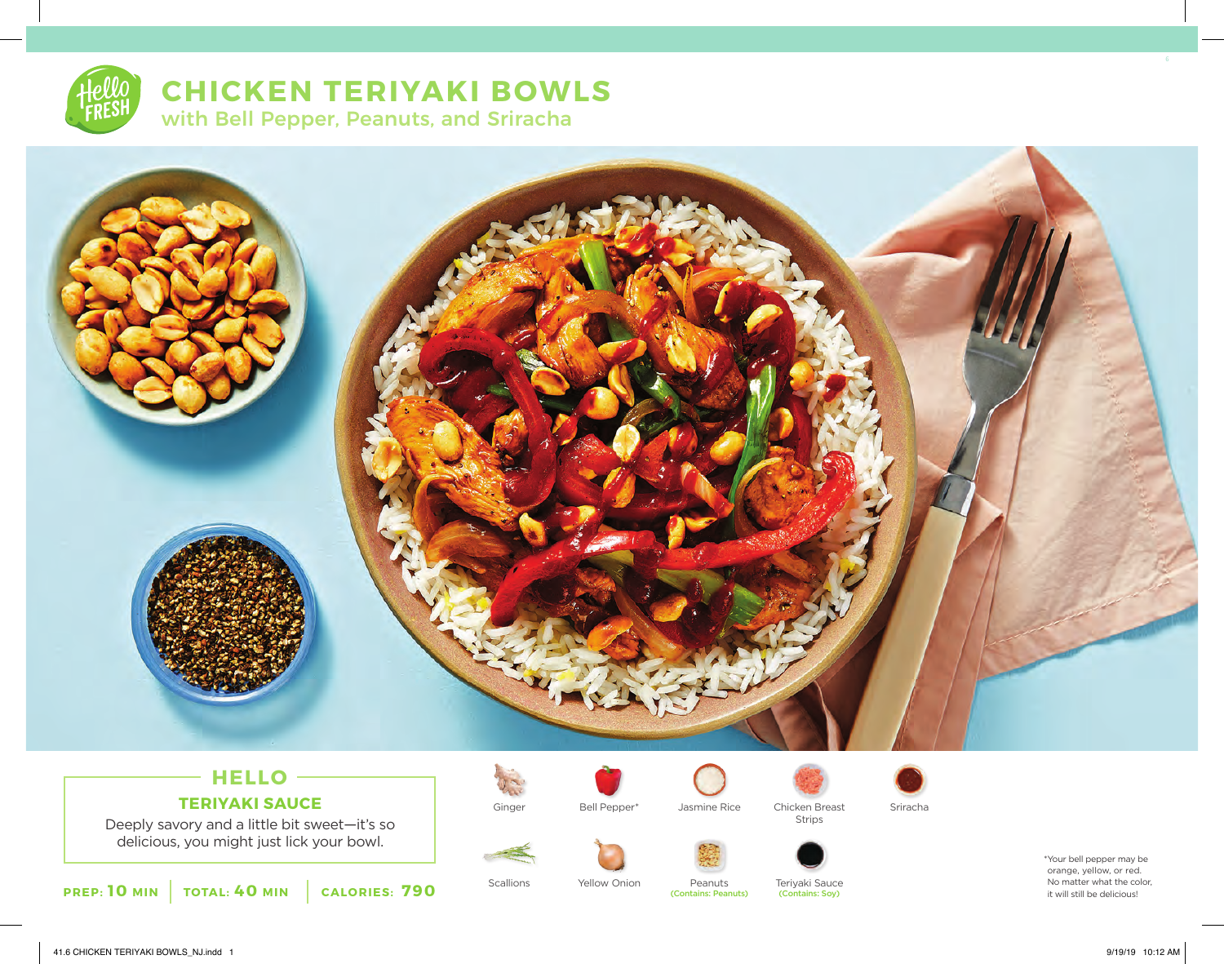

**CHICKEN TERIYAKI BOWLS** with Bell Pepper, Peanuts, and Sriracha



# **HELLO TERIYAKI SAUCE**

Deeply savory and a little bit sweet—it's so delicious, you might just lick your bowl.





Yellow Onion



Peanuts (Contains: Peanuts)

Ginger Chicken Breast Bell Pepper\* Jasmine Rice Sriracha Strips







Scallions Yellow Onion Peanuts Teriyaki Sauce (Contains: Soy)

\*Your bell pepper may be orange, yellow, or red. No matter what the color, it will still be delicious!